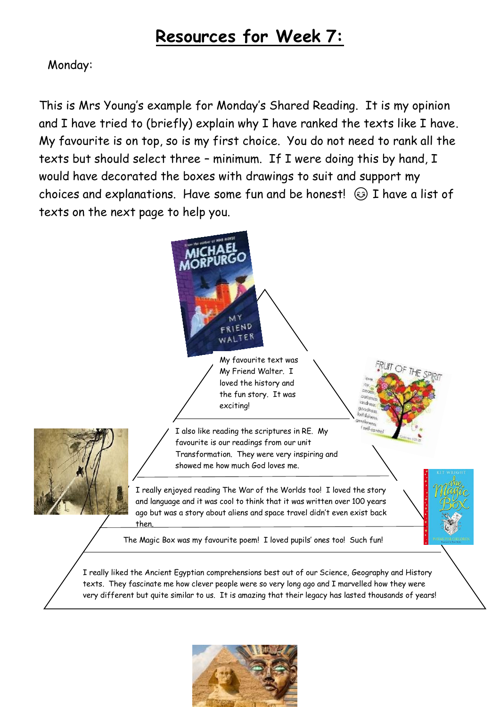# **Resources for Week 7:**

# Monday:

This is Mrs Young's example for Monday's Shared Reading. It is my opinion and I have tried to (briefly) explain why I have ranked the texts like I have. My favourite is on top, so is my first choice. You do not need to rank all the texts but should select three – minimum. If I were doing this by hand, I would have decorated the boxes with drawings to suit and support my choices and explanations. Have some fun and be honest!  $\odot$  I have a list of texts on the next page to help you.



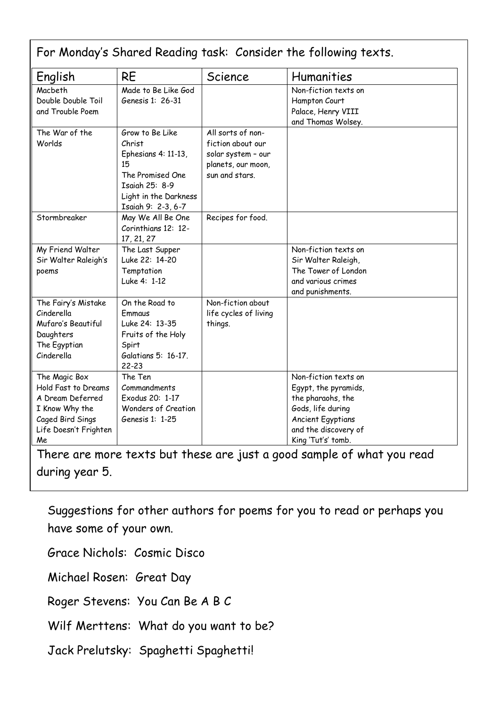| English               | <b>RE</b>             | Science               | Humanities               |
|-----------------------|-----------------------|-----------------------|--------------------------|
| Macbeth               | Made to Be Like God   |                       | Non-fiction texts on     |
| Double Double Toil    | Genesis 1: 26-31      |                       | Hampton Court            |
| and Trouble Poem      |                       |                       | Palace, Henry VIII       |
|                       |                       |                       | and Thomas Wolsey.       |
| The War of the        | Grow to Be Like       | All sorts of non-     |                          |
| Worlds                | Christ                | fiction about our     |                          |
|                       | Ephesians 4: 11-13,   | solar system - our    |                          |
|                       | 15                    | planets, our moon,    |                          |
|                       | The Promised One      | sun and stars.        |                          |
|                       | Isaiah 25: 8-9        |                       |                          |
|                       | Light in the Darkness |                       |                          |
|                       | Isaiah 9: 2-3, 6-7    |                       |                          |
| Stormbreaker          | May We All Be One     | Recipes for food.     |                          |
|                       | Corinthians 12: 12-   |                       |                          |
|                       | 17, 21, 27            |                       |                          |
| My Friend Walter      | The Last Supper       |                       | Non-fiction texts on     |
| Sir Walter Raleigh's  | Luke 22: 14-20        |                       | Sir Walter Raleigh,      |
| poems                 | Temptation            |                       | The Tower of London      |
|                       | Luke 4: 1-12          |                       | and various crimes       |
|                       |                       |                       | and punishments.         |
| The Fairy's Mistake   | On the Road to        | Non-fiction about     |                          |
| Cinderella            | Emmaus                | life cycles of living |                          |
| Mufaro's Beautiful    | Luke 24: 13-35        | things.               |                          |
| Daughters             | Fruits of the Holy    |                       |                          |
| The Egyptian          | Spirt                 |                       |                          |
| Cinderella            | Galatians 5: 16-17.   |                       |                          |
|                       | $22 - 23$             |                       |                          |
| The Magic Box         | The Ten               |                       | Non-fiction texts on     |
| Hold Fast to Dreams   | Commandments          |                       | Egypt, the pyramids,     |
| A Dream Deferred      | Exodus 20: 1-17       |                       | the pharaohs, the        |
| I Know Why the        | Wonders of Creation   |                       | Gods, life during        |
| Caged Bird Sings      | Genesis 1: 1-25       |                       | <b>Ancient Egyptians</b> |
| Life Doesn't Frighten |                       |                       | and the discovery of     |
| Me                    |                       |                       | King 'Tut's' tomb.       |

during year 5.

Suggestions for other authors for poems for you to read or perhaps you have some of your own.

Grace Nichols: Cosmic Disco

Michael Rosen: Great Day

Roger Stevens: You Can Be A B C

Wilf Merttens: What do you want to be?

Jack Prelutsky: Spaghetti Spaghetti!